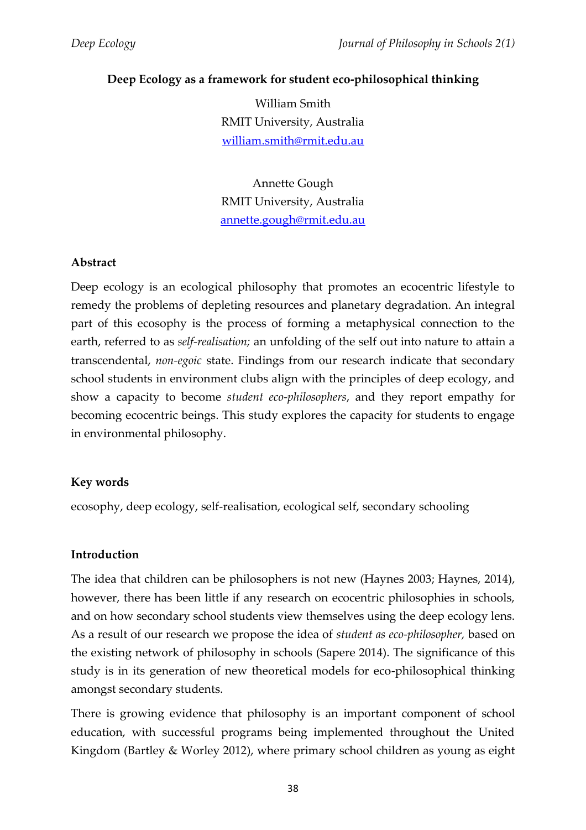# **Deep Ecology as a framework for student eco-philosophical thinking**

William Smith RMIT University, Australia [william.smith@rmit.edu.au](mailto:william.smith@rmit.edu.au)

Annette Gough RMIT University, Australia [annette.gough@rmit.edu.au](mailto:annette.gough@rmit.edu.au)

#### **Abstract**

Deep ecology is an ecological philosophy that promotes an ecocentric lifestyle to remedy the problems of depleting resources and planetary degradation. An integral part of this ecosophy is the process of forming a metaphysical connection to the earth, referred to as *self-realisation;* an unfolding of the self out into nature to attain a transcendental, *non-egoic* state. Findings from our research indicate that secondary school students in environment clubs align with the principles of deep ecology, and show a capacity to become *student eco-philosophers*, and they report empathy for becoming ecocentric beings. This study explores the capacity for students to engage in environmental philosophy.

# **Key words**

ecosophy, deep ecology, self-realisation, ecological self, secondary schooling

#### **Introduction**

The idea that children can be philosophers is not new (Haynes 2003; Haynes, 2014), however, there has been little if any research on ecocentric philosophies in schools, and on how secondary school students view themselves using the deep ecology lens. As a result of our research we propose the idea of *student as eco-philosopher,* based on the existing network of philosophy in schools (Sapere 2014). The significance of this study is in its generation of new theoretical models for eco-philosophical thinking amongst secondary students.

There is growing evidence that philosophy is an important component of school education, with successful programs being implemented throughout the United Kingdom (Bartley & Worley 2012), where primary school children as young as eight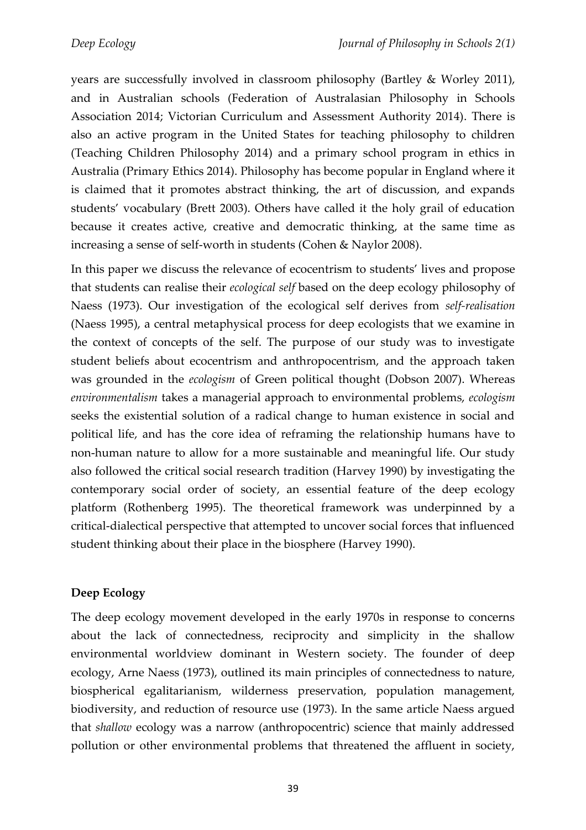years are successfully involved in classroom philosophy (Bartley & Worley 2011), and in Australian schools (Federation of Australasian Philosophy in Schools Association 2014; Victorian Curriculum and Assessment Authority 2014). There is also an active program in the United States for teaching philosophy to children (Teaching Children Philosophy 2014) and a primary school program in ethics in Australia (Primary Ethics 2014). Philosophy has become popular in England where it is claimed that it promotes abstract thinking, the art of discussion, and expands students' vocabulary (Brett 2003). Others have called it the holy grail of education because it creates active, creative and democratic thinking, at the same time as increasing a sense of self-worth in students (Cohen & Naylor 2008).

In this paper we discuss the relevance of ecocentrism to students' lives and propose that students can realise their *ecological self* based on the deep ecology philosophy of Naess (1973). Our investigation of the ecological self derives from *self-realisation* (Naess 1995), a central metaphysical process for deep ecologists that we examine in the context of concepts of the self. The purpose of our study was to investigate student beliefs about ecocentrism and anthropocentrism, and the approach taken was grounded in the *ecologism* of Green political thought (Dobson 2007). Whereas *environmentalism* takes a managerial approach to environmental problems, *ecologism* seeks the existential solution of a radical change to human existence in social and political life, and has the core idea of reframing the relationship humans have to non-human nature to allow for a more sustainable and meaningful life. Our study also followed the critical social research tradition (Harvey 1990) by investigating the contemporary social order of society, an essential feature of the deep ecology platform (Rothenberg 1995). The theoretical framework was underpinned by a critical-dialectical perspective that attempted to uncover social forces that influenced student thinking about their place in the biosphere (Harvey 1990).

# **Deep Ecology**

The deep ecology movement developed in the early 1970s in response to concerns about the lack of connectedness, reciprocity and simplicity in the shallow environmental worldview dominant in Western society. The founder of deep ecology, Arne Naess (1973), outlined its main principles of connectedness to nature, biospherical egalitarianism, wilderness preservation, population management, biodiversity, and reduction of resource use (1973). In the same article Naess argued that *shallow* ecology was a narrow (anthropocentric) science that mainly addressed pollution or other environmental problems that threatened the affluent in society,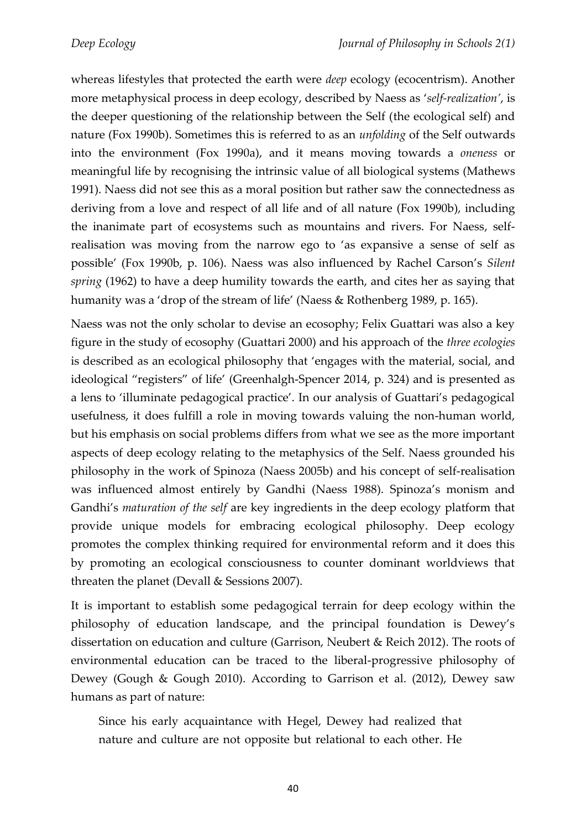whereas lifestyles that protected the earth were *deep* ecology (ecocentrism). Another more metaphysical process in deep ecology, described by Naess as '*self-realization'*, is the deeper questioning of the relationship between the Self (the ecological self) and nature (Fox 1990b). Sometimes this is referred to as an *unfolding* of the Self outwards into the environment (Fox 1990a), and it means moving towards a *oneness* or meaningful life by recognising the intrinsic value of all biological systems (Mathews 1991). Naess did not see this as a moral position but rather saw the connectedness as deriving from a love and respect of all life and of all nature (Fox 1990b), including the inanimate part of ecosystems such as mountains and rivers. For Naess, selfrealisation was moving from the narrow ego to 'as expansive a sense of self as possible' (Fox 1990b, p. 106). Naess was also influenced by Rachel Carson's *Silent spring* (1962) to have a deep humility towards the earth, and cites her as saying that humanity was a 'drop of the stream of life' (Naess & Rothenberg 1989, p. 165).

Naess was not the only scholar to devise an ecosophy; Felix Guattari was also a key figure in the study of ecosophy (Guattari 2000) and his approach of the *three ecologies*  is described as an ecological philosophy that 'engages with the material, social, and ideological "registers" of life' (Greenhalgh-Spencer 2014, p. 324) and is presented as a lens to 'illuminate pedagogical practice'. In our analysis of Guattari's pedagogical usefulness, it does fulfill a role in moving towards valuing the non-human world, but his emphasis on social problems differs from what we see as the more important aspects of deep ecology relating to the metaphysics of the Self. Naess grounded his philosophy in the work of Spinoza (Naess 2005b) and his concept of self-realisation was influenced almost entirely by Gandhi (Naess 1988). Spinoza's monism and Gandhi's *maturation of the self* are key ingredients in the deep ecology platform that provide unique models for embracing ecological philosophy. Deep ecology promotes the complex thinking required for environmental reform and it does this by promoting an ecological consciousness to counter dominant worldviews that threaten the planet (Devall & Sessions 2007).

It is important to establish some pedagogical terrain for deep ecology within the philosophy of education landscape, and the principal foundation is Dewey's dissertation on education and culture (Garrison, Neubert & Reich 2012). The roots of environmental education can be traced to the liberal-progressive philosophy of Dewey (Gough & Gough 2010). According to Garrison et al. (2012), Dewey saw humans as part of nature:

Since his early acquaintance with Hegel, Dewey had realized that nature and culture are not opposite but relational to each other. He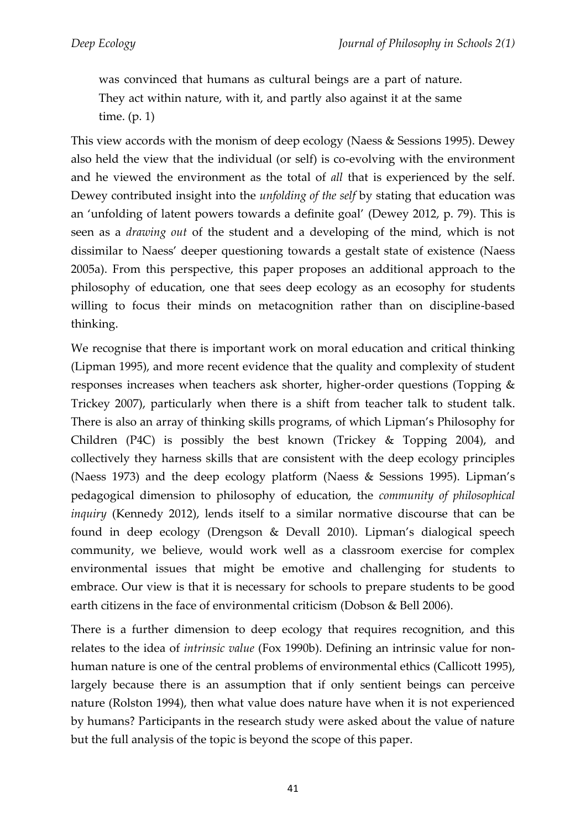was convinced that humans as cultural beings are a part of nature. They act within nature, with it, and partly also against it at the same time. (p. 1)

This view accords with the monism of deep ecology (Naess & Sessions 1995). Dewey also held the view that the individual (or self) is co-evolving with the environment and he viewed the environment as the total of *all* that is experienced by the self. Dewey contributed insight into the *unfolding of the self* by stating that education was an 'unfolding of latent powers towards a definite goal' (Dewey 2012, p. 79). This is seen as a *drawing out* of the student and a developing of the mind, which is not dissimilar to Naess' deeper questioning towards a gestalt state of existence (Naess 2005a). From this perspective, this paper proposes an additional approach to the philosophy of education, one that sees deep ecology as an ecosophy for students willing to focus their minds on metacognition rather than on discipline-based thinking.

We recognise that there is important work on moral education and critical thinking (Lipman 1995), and more recent evidence that the quality and complexity of student responses increases when teachers ask shorter, higher-order questions (Topping & Trickey 2007), particularly when there is a shift from teacher talk to student talk. There is also an array of thinking skills programs, of which Lipman's Philosophy for Children (P4C) is possibly the best known (Trickey & Topping 2004), and collectively they harness skills that are consistent with the deep ecology principles (Naess 1973) and the deep ecology platform (Naess & Sessions 1995). Lipman's pedagogical dimension to philosophy of education, the *community of philosophical inquiry* (Kennedy 2012), lends itself to a similar normative discourse that can be found in deep ecology (Drengson & Devall 2010). Lipman's dialogical speech community, we believe, would work well as a classroom exercise for complex environmental issues that might be emotive and challenging for students to embrace. Our view is that it is necessary for schools to prepare students to be good earth citizens in the face of environmental criticism (Dobson & Bell 2006).

There is a further dimension to deep ecology that requires recognition, and this relates to the idea of *intrinsic value* (Fox 1990b). Defining an intrinsic value for nonhuman nature is one of the central problems of environmental ethics (Callicott 1995), largely because there is an assumption that if only sentient beings can perceive nature (Rolston 1994), then what value does nature have when it is not experienced by humans? Participants in the research study were asked about the value of nature but the full analysis of the topic is beyond the scope of this paper.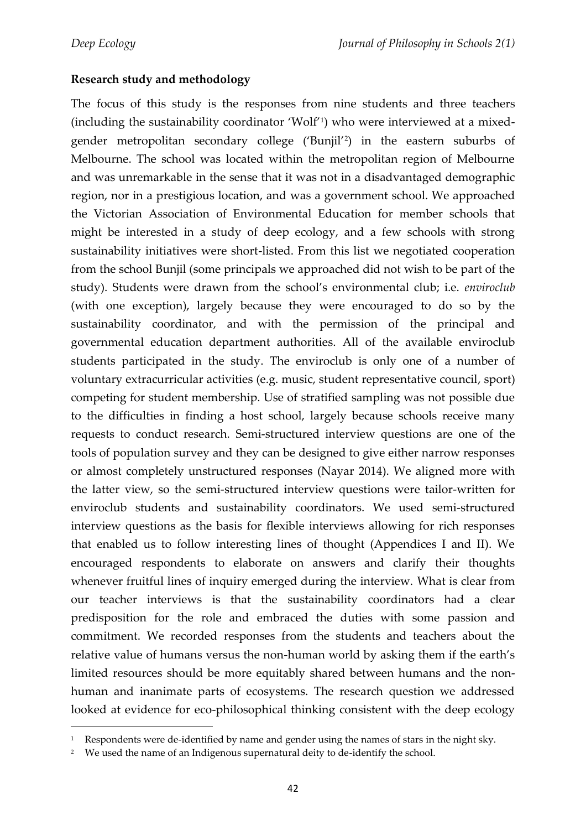$\overline{a}$ 

### **Research study and methodology**

The focus of this study is the responses from nine students and three teachers (including the sustainability coordinator 'Wolf'<sup>1</sup> ) who were interviewed at a mixedgender metropolitan secondary college ('Bunjil'<sup>2</sup> ) in the eastern suburbs of Melbourne. The school was located within the metropolitan region of Melbourne and was unremarkable in the sense that it was not in a disadvantaged demographic region, nor in a prestigious location, and was a government school. We approached the Victorian Association of Environmental Education for member schools that might be interested in a study of deep ecology, and a few schools with strong sustainability initiatives were short-listed. From this list we negotiated cooperation from the school Bunjil (some principals we approached did not wish to be part of the study). Students were drawn from the school's environmental club; i.e. *enviroclub* (with one exception), largely because they were encouraged to do so by the sustainability coordinator, and with the permission of the principal and governmental education department authorities. All of the available enviroclub students participated in the study. The enviroclub is only one of a number of voluntary extracurricular activities (e.g. music, student representative council, sport) competing for student membership. Use of stratified sampling was not possible due to the difficulties in finding a host school, largely because schools receive many requests to conduct research. Semi-structured interview questions are one of the tools of population survey and they can be designed to give either narrow responses or almost completely unstructured responses (Nayar 2014). We aligned more with the latter view, so the semi-structured interview questions were tailor-written for enviroclub students and sustainability coordinators. We used semi-structured interview questions as the basis for flexible interviews allowing for rich responses that enabled us to follow interesting lines of thought (Appendices I and II). We encouraged respondents to elaborate on answers and clarify their thoughts whenever fruitful lines of inquiry emerged during the interview. What is clear from our teacher interviews is that the sustainability coordinators had a clear predisposition for the role and embraced the duties with some passion and commitment. We recorded responses from the students and teachers about the relative value of humans versus the non-human world by asking them if the earth's limited resources should be more equitably shared between humans and the nonhuman and inanimate parts of ecosystems. The research question we addressed looked at evidence for eco-philosophical thinking consistent with the deep ecology

<sup>&</sup>lt;sup>1</sup> Respondents were de-identified by name and gender using the names of stars in the night sky.

<sup>&</sup>lt;sup>2</sup> We used the name of an Indigenous supernatural deity to de-identify the school.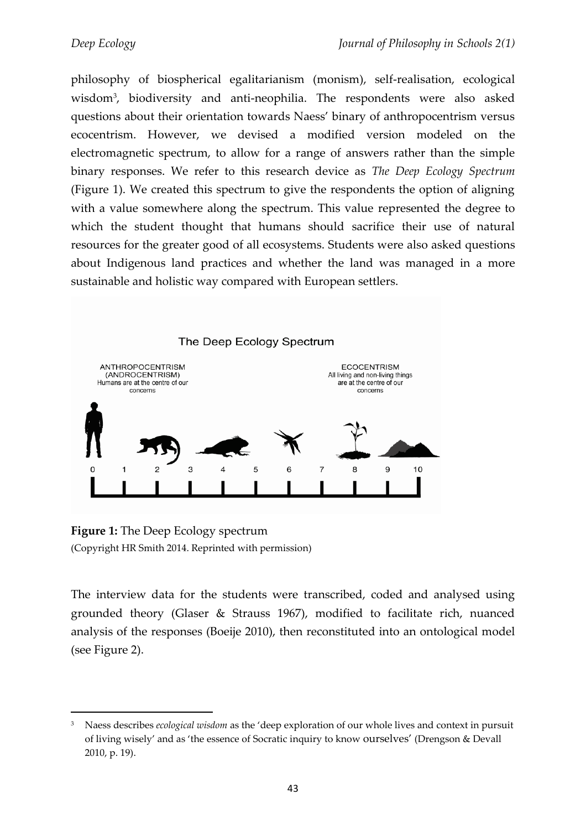philosophy of biospherical egalitarianism (monism), self-realisation, ecological wisdom<sup>3</sup> , biodiversity and anti-neophilia. The respondents were also asked questions about their orientation towards Naess' binary of anthropocentrism versus ecocentrism. However, we devised a modified version modeled on the electromagnetic spectrum, to allow for a range of answers rather than the simple binary responses. We refer to this research device as *The Deep Ecology Spectrum*  (Figure 1). We created this spectrum to give the respondents the option of aligning with a value somewhere along the spectrum. This value represented the degree to which the student thought that humans should sacrifice their use of natural resources for the greater good of all ecosystems. Students were also asked questions about Indigenous land practices and whether the land was managed in a more sustainable and holistic way compared with European settlers.



**Figure 1:** The Deep Ecology spectrum (Copyright HR Smith 2014. Reprinted with permission)

l

The interview data for the students were transcribed, coded and analysed using grounded theory (Glaser & Strauss 1967), modified to facilitate rich, nuanced analysis of the responses (Boeije 2010), then reconstituted into an ontological model (see Figure 2).

<sup>3</sup> Naess describes *ecological wisdom* as the 'deep exploration of our whole lives and context in pursuit of living wisely' and as 'the essence of Socratic inquiry to know ourselves' (Drengson & Devall 2010, p. 19).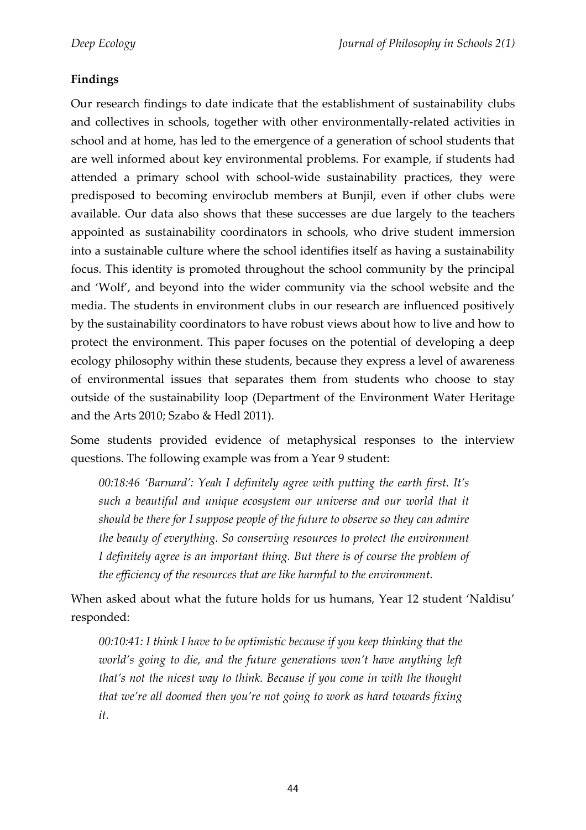# **Findings**

Our research findings to date indicate that the establishment of sustainability clubs and collectives in schools, together with other environmentally-related activities in school and at home, has led to the emergence of a generation of school students that are well informed about key environmental problems. For example, if students had attended a primary school with school-wide sustainability practices, they were predisposed to becoming enviroclub members at Bunjil, even if other clubs were available. Our data also shows that these successes are due largely to the teachers appointed as sustainability coordinators in schools, who drive student immersion into a sustainable culture where the school identifies itself as having a sustainability focus. This identity is promoted throughout the school community by the principal and 'Wolf', and beyond into the wider community via the school website and the media. The students in environment clubs in our research are influenced positively by the sustainability coordinators to have robust views about how to live and how to protect the environment. This paper focuses on the potential of developing a deep ecology philosophy within these students, because they express a level of awareness of environmental issues that separates them from students who choose to stay outside of the sustainability loop (Department of the Environment Water Heritage and the Arts 2010; Szabo & Hedl 2011).

Some students provided evidence of metaphysical responses to the interview questions. The following example was from a Year 9 student:

*00:18:46 'Barnard': Yeah I definitely agree with putting the earth first. It's such a beautiful and unique ecosystem our universe and our world that it should be there for I suppose people of the future to observe so they can admire the beauty of everything. So conserving resources to protect the environment I definitely agree is an important thing. But there is of course the problem of the efficiency of the resources that are like harmful to the environment.*

When asked about what the future holds for us humans, Year 12 student 'Naldisu' responded:

*00:10:41: I think I have to be optimistic because if you keep thinking that the world's going to die, and the future generations won't have anything left that's not the nicest way to think. Because if you come in with the thought that we're all doomed then you're not going to work as hard towards fixing it.*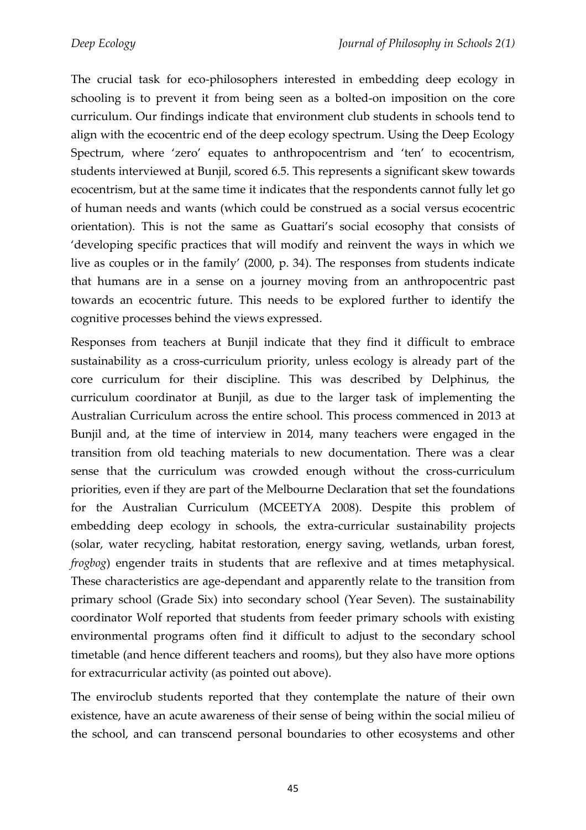The crucial task for eco-philosophers interested in embedding deep ecology in schooling is to prevent it from being seen as a bolted-on imposition on the core curriculum. Our findings indicate that environment club students in schools tend to align with the ecocentric end of the deep ecology spectrum. Using the Deep Ecology Spectrum, where 'zero' equates to anthropocentrism and 'ten' to ecocentrism, students interviewed at Bunjil, scored 6.5. This represents a significant skew towards ecocentrism, but at the same time it indicates that the respondents cannot fully let go of human needs and wants (which could be construed as a social versus ecocentric orientation). This is not the same as Guattari's social ecosophy that consists of 'developing specific practices that will modify and reinvent the ways in which we live as couples or in the family' (2000, p. 34). The responses from students indicate that humans are in a sense on a journey moving from an anthropocentric past towards an ecocentric future. This needs to be explored further to identify the cognitive processes behind the views expressed.

Responses from teachers at Bunjil indicate that they find it difficult to embrace sustainability as a cross-curriculum priority, unless ecology is already part of the core curriculum for their discipline. This was described by Delphinus, the curriculum coordinator at Bunjil, as due to the larger task of implementing the Australian Curriculum across the entire school. This process commenced in 2013 at Bunjil and, at the time of interview in 2014, many teachers were engaged in the transition from old teaching materials to new documentation. There was a clear sense that the curriculum was crowded enough without the cross-curriculum priorities, even if they are part of the Melbourne Declaration that set the foundations for the Australian Curriculum (MCEETYA 2008). Despite this problem of embedding deep ecology in schools, the extra-curricular sustainability projects (solar, water recycling, habitat restoration, energy saving, wetlands, urban forest, *frogbog*) engender traits in students that are reflexive and at times metaphysical. These characteristics are age-dependant and apparently relate to the transition from primary school (Grade Six) into secondary school (Year Seven). The sustainability coordinator Wolf reported that students from feeder primary schools with existing environmental programs often find it difficult to adjust to the secondary school timetable (and hence different teachers and rooms), but they also have more options for extracurricular activity (as pointed out above).

The enviroclub students reported that they contemplate the nature of their own existence, have an acute awareness of their sense of being within the social milieu of the school, and can transcend personal boundaries to other ecosystems and other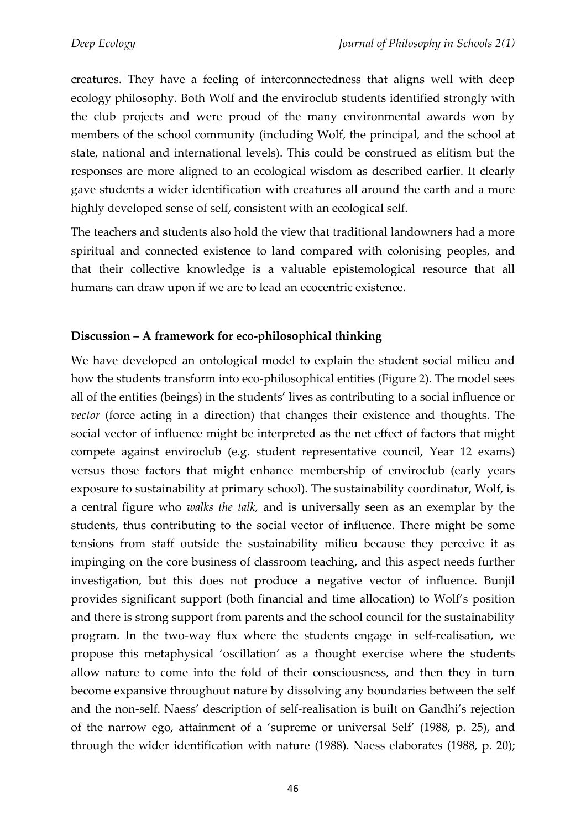creatures. They have a feeling of interconnectedness that aligns well with deep ecology philosophy. Both Wolf and the enviroclub students identified strongly with the club projects and were proud of the many environmental awards won by members of the school community (including Wolf, the principal, and the school at state, national and international levels). This could be construed as elitism but the responses are more aligned to an ecological wisdom as described earlier. It clearly gave students a wider identification with creatures all around the earth and a more highly developed sense of self, consistent with an ecological self.

The teachers and students also hold the view that traditional landowners had a more spiritual and connected existence to land compared with colonising peoples, and that their collective knowledge is a valuable epistemological resource that all humans can draw upon if we are to lead an ecocentric existence.

# **Discussion – A framework for eco-philosophical thinking**

We have developed an ontological model to explain the student social milieu and how the students transform into eco-philosophical entities (Figure 2). The model sees all of the entities (beings) in the students' lives as contributing to a social influence or *vector* (force acting in a direction) that changes their existence and thoughts. The social vector of influence might be interpreted as the net effect of factors that might compete against enviroclub (e.g. student representative council, Year 12 exams) versus those factors that might enhance membership of enviroclub (early years exposure to sustainability at primary school). The sustainability coordinator, Wolf, is a central figure who *walks the talk,* and is universally seen as an exemplar by the students, thus contributing to the social vector of influence. There might be some tensions from staff outside the sustainability milieu because they perceive it as impinging on the core business of classroom teaching, and this aspect needs further investigation, but this does not produce a negative vector of influence. Bunjil provides significant support (both financial and time allocation) to Wolf's position and there is strong support from parents and the school council for the sustainability program. In the two-way flux where the students engage in self-realisation, we propose this metaphysical 'oscillation' as a thought exercise where the students allow nature to come into the fold of their consciousness, and then they in turn become expansive throughout nature by dissolving any boundaries between the self and the non-self. Naess' description of self-realisation is built on Gandhi's rejection of the narrow ego, attainment of a 'supreme or universal Self' (1988, p. 25), and through the wider identification with nature (1988). Naess elaborates (1988, p. 20);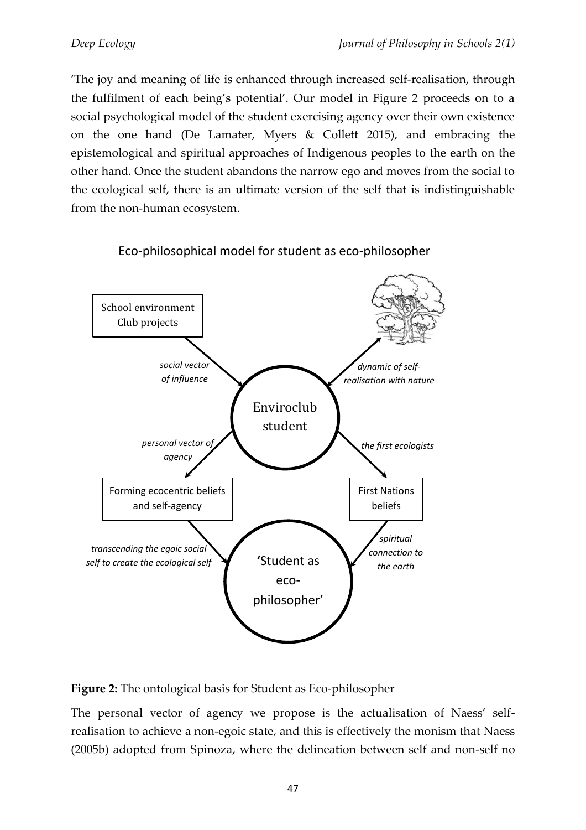'The joy and meaning of life is enhanced through increased self-realisation, through the fulfilment of each being's potential'. Our model in Figure 2 proceeds on to a social psychological model of the student exercising agency over their own existence on the one hand (De Lamater, Myers & Collett 2015), and embracing the epistemological and spiritual approaches of Indigenous peoples to the earth on the other hand. Once the student abandons the narrow ego and moves from the social to the ecological self, there is an ultimate version of the self that is indistinguishable from the non-human ecosystem.



# Eco-philosophical model for student as eco-philosopher

**Figure 2:** The ontological basis for Student as Eco-philosopher

The personal vector of agency we propose is the actualisation of Naess' selfrealisation to achieve a non-egoic state, and this is effectively the monism that Naess (2005b) adopted from Spinoza, where the delineation between self and non-self no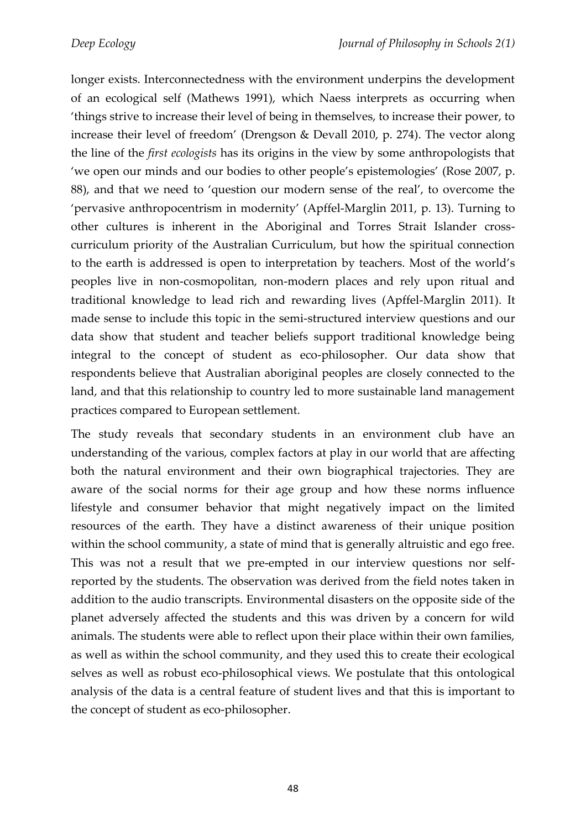longer exists. Interconnectedness with the environment underpins the development of an ecological self (Mathews 1991), which Naess interprets as occurring when 'things strive to increase their level of being in themselves, to increase their power, to increase their level of freedom' (Drengson & Devall 2010, p. 274). The vector along the line of the *first ecologists* has its origins in the view by some anthropologists that 'we open our minds and our bodies to other people's epistemologies' (Rose 2007, p. 88), and that we need to 'question our modern sense of the real', to overcome the 'pervasive anthropocentrism in modernity' (Apffel-Marglin 2011, p. 13). Turning to other cultures is inherent in the Aboriginal and Torres Strait Islander crosscurriculum priority of the Australian Curriculum, but how the spiritual connection to the earth is addressed is open to interpretation by teachers. Most of the world's peoples live in non-cosmopolitan, non-modern places and rely upon ritual and traditional knowledge to lead rich and rewarding lives (Apffel-Marglin 2011). It made sense to include this topic in the semi-structured interview questions and our data show that student and teacher beliefs support traditional knowledge being integral to the concept of student as eco-philosopher. Our data show that respondents believe that Australian aboriginal peoples are closely connected to the land, and that this relationship to country led to more sustainable land management practices compared to European settlement.

The study reveals that secondary students in an environment club have an understanding of the various, complex factors at play in our world that are affecting both the natural environment and their own biographical trajectories. They are aware of the social norms for their age group and how these norms influence lifestyle and consumer behavior that might negatively impact on the limited resources of the earth. They have a distinct awareness of their unique position within the school community, a state of mind that is generally altruistic and ego free. This was not a result that we pre-empted in our interview questions nor selfreported by the students. The observation was derived from the field notes taken in addition to the audio transcripts. Environmental disasters on the opposite side of the planet adversely affected the students and this was driven by a concern for wild animals. The students were able to reflect upon their place within their own families, as well as within the school community, and they used this to create their ecological selves as well as robust eco-philosophical views. We postulate that this ontological analysis of the data is a central feature of student lives and that this is important to the concept of student as eco-philosopher.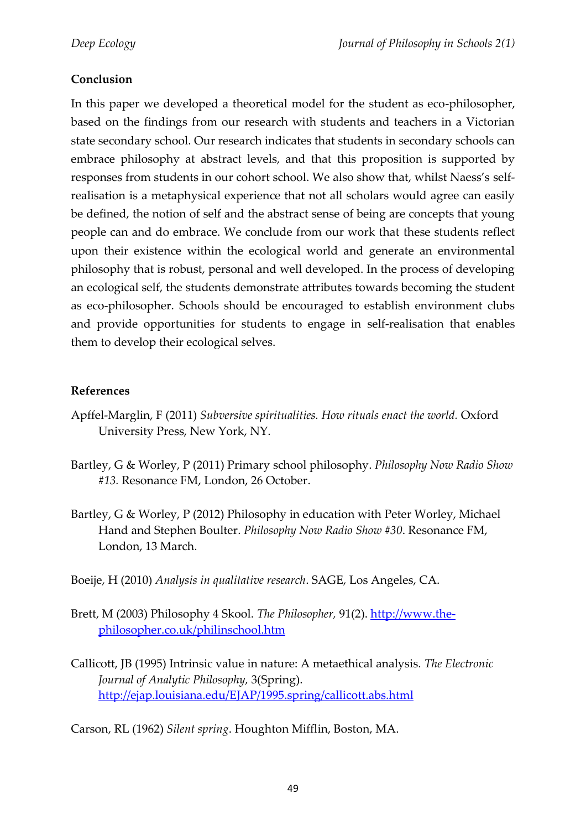# **Conclusion**

In this paper we developed a theoretical model for the student as eco-philosopher, based on the findings from our research with students and teachers in a Victorian state secondary school. Our research indicates that students in secondary schools can embrace philosophy at abstract levels, and that this proposition is supported by responses from students in our cohort school. We also show that, whilst Naess's selfrealisation is a metaphysical experience that not all scholars would agree can easily be defined, the notion of self and the abstract sense of being are concepts that young people can and do embrace. We conclude from our work that these students reflect upon their existence within the ecological world and generate an environmental philosophy that is robust, personal and well developed. In the process of developing an ecological self, the students demonstrate attributes towards becoming the student as eco-philosopher. Schools should be encouraged to establish environment clubs and provide opportunities for students to engage in self-realisation that enables them to develop their ecological selves.

#### **References**

- Apffel-Marglin, F (2011) *Subversive spiritualities. How rituals enact the world.* Oxford University Press, New York, NY.
- Bartley, G & Worley, P (2011) Primary school philosophy. *Philosophy Now Radio Show #13.* Resonance FM, London, 26 October.
- Bartley, G & Worley, P (2012) Philosophy in education with Peter Worley, Michael Hand and Stephen Boulter. *Philosophy Now Radio Show #30*. Resonance FM, London, 13 March.

Boeije, H (2010) *Analysis in qualitative research*. SAGE, Los Angeles, CA.

- Brett, M (2003) Philosophy 4 Skool. *The Philosopher,* 91(2). [http://www.the](http://www.the-philosopher.co.uk/philinschool.htm)[philosopher.co.uk/philinschool.htm](http://www.the-philosopher.co.uk/philinschool.htm)
- Callicott, JB (1995) Intrinsic value in nature: A metaethical analysis. *The Electronic Journal of Analytic Philosophy,* 3(Spring). <http://ejap.louisiana.edu/EJAP/1995.spring/callicott.abs.html>

Carson, RL (1962) *Silent spring*. Houghton Mifflin, Boston, MA.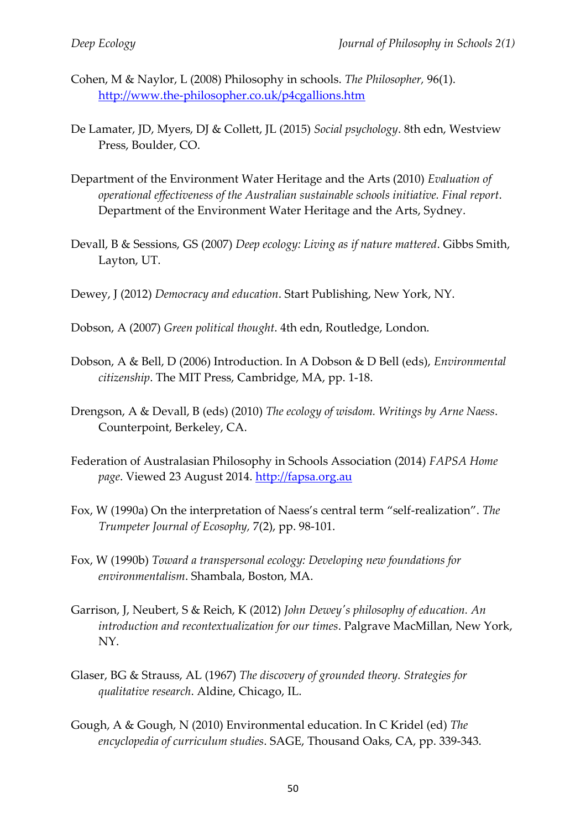- Cohen, M & Naylor, L (2008) Philosophy in schools. *The Philosopher,* 96(1). <http://www.the-philosopher.co.uk/p4cgallions.htm>
- De Lamater, JD, Myers, DJ & Collett, JL (2015) *Social psychology*. 8th edn, Westview Press, Boulder, CO.
- Department of the Environment Water Heritage and the Arts (2010) *Evaluation of operational effectiveness of the Australian sustainable schools initiative. Final report*. Department of the Environment Water Heritage and the Arts, Sydney.
- Devall, B & Sessions, GS (2007) *Deep ecology: Living as if nature mattered*. Gibbs Smith, Layton, UT.
- Dewey, J (2012) *Democracy and education*. Start Publishing, New York, NY.
- Dobson, A (2007) *Green political thought*. 4th edn, Routledge, London.
- Dobson, A & Bell, D (2006) Introduction. In A Dobson & D Bell (eds), *Environmental citizenship*. The MIT Press, Cambridge, MA, pp. 1-18.
- Drengson, A & Devall, B (eds) (2010) *The ecology of wisdom. Writings by Arne Naess*. Counterpoint, Berkeley, CA.
- Federation of Australasian Philosophy in Schools Association (2014) *FAPSA Home page*. Viewed 23 August 2014. [http://fapsa.org.au](http://fapsa.org.au/)
- Fox, W (1990a) On the interpretation of Naess's central term "self-realization". *The Trumpeter Journal of Ecosophy,* 7(2), pp. 98-101.
- Fox, W (1990b) *Toward a transpersonal ecology: Developing new foundations for environmentalism*. Shambala, Boston, MA.
- Garrison, J, Neubert, S & Reich, K (2012) *John Dewey's philosophy of education. An introduction and recontextualization for our times*. Palgrave MacMillan, New York, NY.
- Glaser, BG & Strauss, AL (1967) *The discovery of grounded theory. Strategies for qualitative research*. Aldine, Chicago, IL.
- Gough, A & Gough, N (2010) Environmental education. In C Kridel (ed) *The encyclopedia of curriculum studies*. SAGE, Thousand Oaks, CA, pp. 339-343.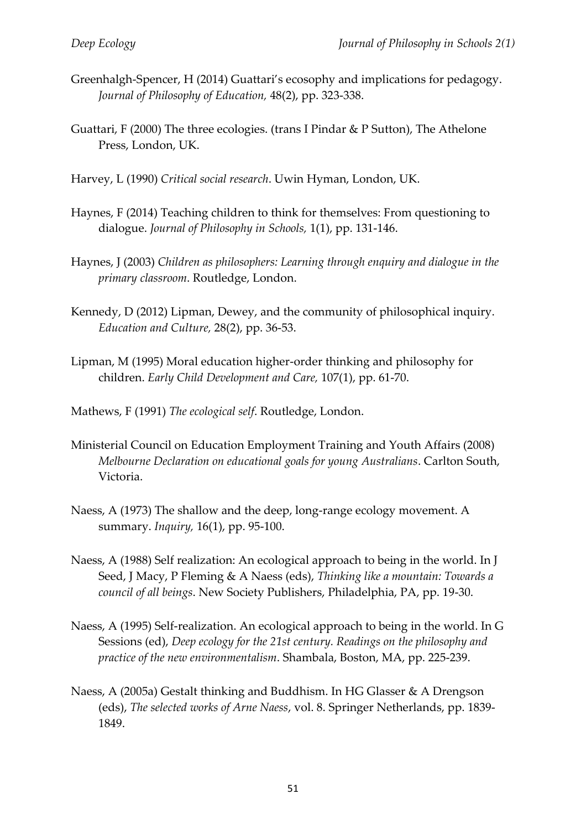- Greenhalgh-Spencer, H (2014) Guattari's ecosophy and implications for pedagogy. *Journal of Philosophy of Education,* 48(2), pp. 323-338.
- Guattari, F (2000) The three ecologies. (trans I Pindar & P Sutton), The Athelone Press, London, UK.
- Harvey, L (1990) *Critical social research*. Uwin Hyman, London, UK.
- Haynes, F (2014) Teaching children to think for themselves: From questioning to dialogue. *Journal of Philosophy in Schools,* 1(1), pp. 131-146.
- Haynes, J (2003) *Children as philosophers: Learning through enquiry and dialogue in the primary classroom*. Routledge, London.
- Kennedy, D (2012) Lipman, Dewey, and the community of philosophical inquiry. *Education and Culture,* 28(2), pp. 36-53.
- Lipman, M (1995) Moral education higher-order thinking and philosophy for children. *Early Child Development and Care,* 107(1), pp. 61-70.
- Mathews, F (1991) *The ecological self*. Routledge, London.
- Ministerial Council on Education Employment Training and Youth Affairs (2008) *Melbourne Declaration on educational goals for young Australians*. Carlton South, Victoria.
- Naess, A (1973) The shallow and the deep, long-range ecology movement. A summary. *Inquiry,* 16(1), pp. 95-100.
- Naess, A (1988) Self realization: An ecological approach to being in the world. In J Seed, J Macy, P Fleming & A Naess (eds), *Thinking like a mountain: Towards a council of all beings*. New Society Publishers, Philadelphia, PA, pp. 19-30.
- Naess, A (1995) Self-realization. An ecological approach to being in the world. In G Sessions (ed), *Deep ecology for the 21st century. Readings on the philosophy and practice of the new environmentalism*. Shambala, Boston, MA, pp. 225-239.
- Naess, A (2005a) Gestalt thinking and Buddhism. In HG Glasser & A Drengson (eds), *The selected works of Arne Naess*, vol. 8. Springer Netherlands, pp. 1839- 1849.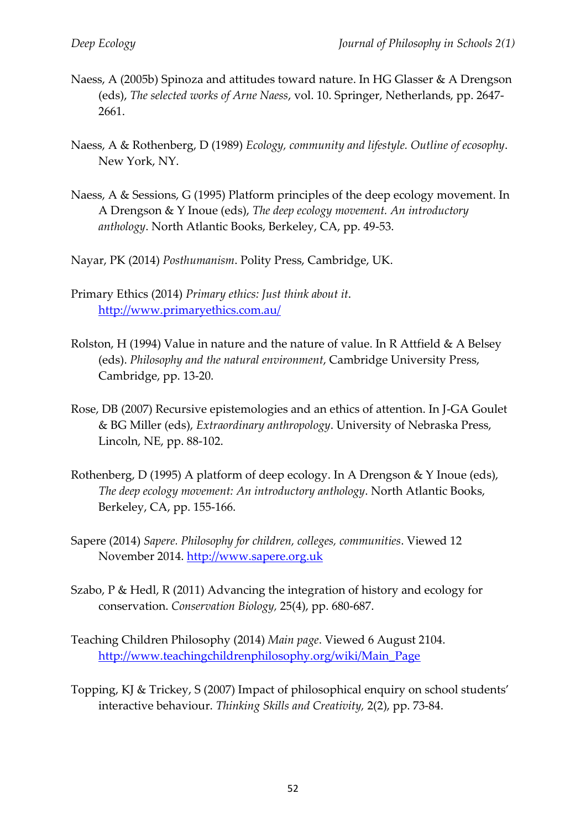- Naess, A (2005b) Spinoza and attitudes toward nature. In HG Glasser & A Drengson (eds), *The selected works of Arne Naess*, vol. 10. Springer, Netherlands, pp. 2647- 2661.
- Naess, A & Rothenberg, D (1989) *Ecology, community and lifestyle. Outline of ecosophy*. New York, NY.
- Naess, A & Sessions, G (1995) Platform principles of the deep ecology movement. In A Drengson & Y Inoue (eds), *The deep ecology movement. An introductory anthology*. North Atlantic Books, Berkeley, CA, pp. 49-53.
- Nayar, PK (2014) *Posthumanism*. Polity Press, Cambridge, UK.
- Primary Ethics (2014) *Primary ethics: Just think about it*. <http://www.primaryethics.com.au/>
- Rolston, H (1994) Value in nature and the nature of value. In R Attfield & A Belsey (eds). *Philosophy and the natural environment*, Cambridge University Press, Cambridge, pp. 13-20.
- Rose, DB (2007) Recursive epistemologies and an ethics of attention. In J-GA Goulet & BG Miller (eds), *Extraordinary anthropology*. University of Nebraska Press, Lincoln, NE, pp. 88-102.
- Rothenberg, D (1995) A platform of deep ecology. In A Drengson & Y Inoue (eds), *The deep ecology movement: An introductory anthology*. North Atlantic Books, Berkeley, CA, pp. 155-166.
- Sapere (2014) *Sapere. Philosophy for children, colleges, communities*. Viewed 12 November 2014. [http://www.sapere.org.uk](http://www.sapere.org.uk/)
- Szabo, P & Hedl, R (2011) Advancing the integration of history and ecology for conservation. *Conservation Biology,* 25(4), pp. 680-687.
- Teaching Children Philosophy (2014) *Main page*. Viewed 6 August 2104. [http://www.teachingchildrenphilosophy.org/wiki/Main\\_Page](http://www.teachingchildrenphilosophy.org/wiki/Main_Page)
- Topping, KJ & Trickey, S (2007) Impact of philosophical enquiry on school students' interactive behaviour. *Thinking Skills and Creativity,* 2(2), pp. 73-84.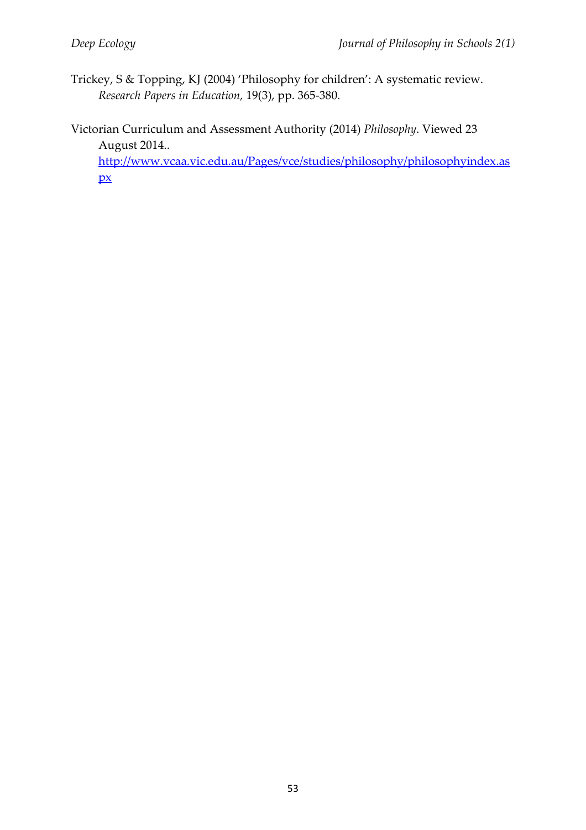- Trickey, S & Topping, KJ (2004) 'Philosophy for children': A systematic review. *Research Papers in Education,* 19(3), pp. 365-380.
- Victorian Curriculum and Assessment Authority (2014) *Philosophy*. Viewed 23 August 2014..

[http://www.vcaa.vic.edu.au/Pages/vce/studies/philosophy/philosophyindex.as](http://www.vcaa.vic.edu.au/Pages/vce/studies/philosophy/philosophyindex.aspx)  $\mathbf{p}$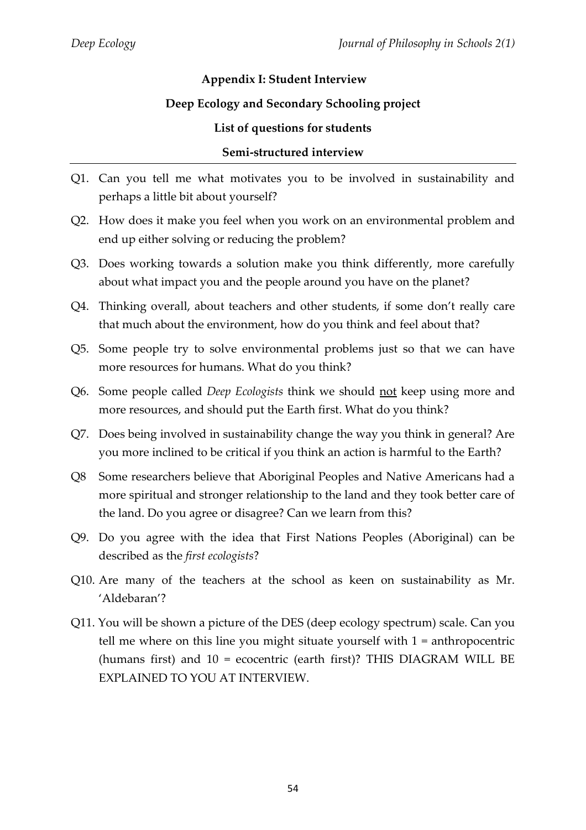# **Appendix I: Student Interview**

### **Deep Ecology and Secondary Schooling project**

#### **List of questions for students**

#### **Semi-structured interview**

- Q1. Can you tell me what motivates you to be involved in sustainability and perhaps a little bit about yourself?
- Q2. How does it make you feel when you work on an environmental problem and end up either solving or reducing the problem?
- Q3. Does working towards a solution make you think differently, more carefully about what impact you and the people around you have on the planet?
- Q4. Thinking overall, about teachers and other students, if some don't really care that much about the environment, how do you think and feel about that?
- Q5. Some people try to solve environmental problems just so that we can have more resources for humans. What do you think?
- Q6. Some people called *Deep Ecologists* think we should not keep using more and more resources, and should put the Earth first. What do you think?
- Q7. Does being involved in sustainability change the way you think in general? Are you more inclined to be critical if you think an action is harmful to the Earth?
- Q8 Some researchers believe that Aboriginal Peoples and Native Americans had a more spiritual and stronger relationship to the land and they took better care of the land. Do you agree or disagree? Can we learn from this?
- Q9. Do you agree with the idea that First Nations Peoples (Aboriginal) can be described as the *first ecologists*?
- Q10. Are many of the teachers at the school as keen on sustainability as Mr. 'Aldebaran'?
- Q11. You will be shown a picture of the DES (deep ecology spectrum) scale. Can you tell me where on this line you might situate yourself with 1 = anthropocentric (humans first) and 10 = ecocentric (earth first)? THIS DIAGRAM WILL BE EXPLAINED TO YOU AT INTERVIEW.